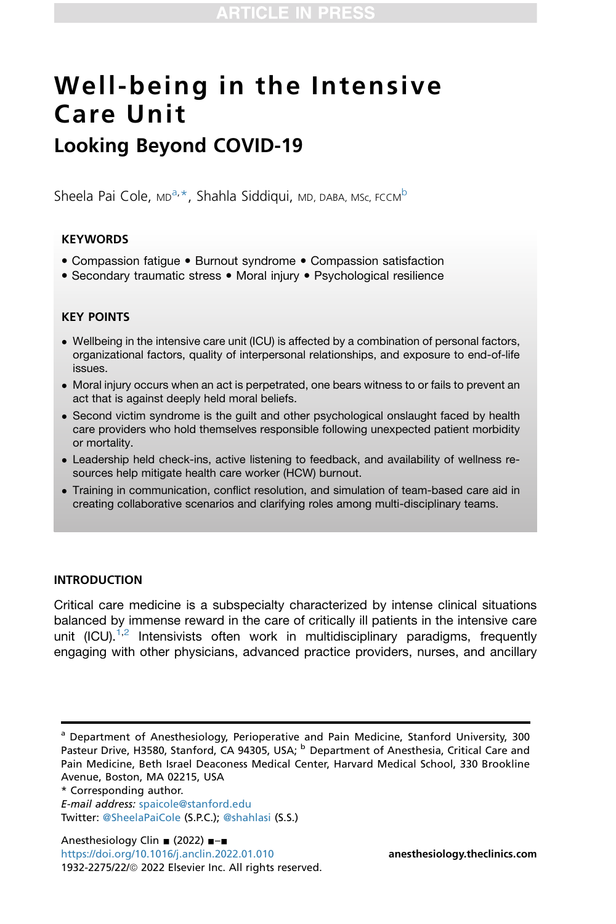# Well-being in the Intensive Care Unit

# Looking Beyond COVID-19

Sheel[a](#page-0-0) Pai Cole, <su[b](#page-0-2)>MD</sub><sup>a,\*</sup>, Shahla Siddiqui, <sub>MD</sub>, <sub>DABA</sub>, Msc, FCCM<sup>b</sup>

# **KEYWORDS**

- Compassion fatigue Burnout syndrome Compassion satisfaction
- Secondary traumatic stress Moral injury Psychological resilience

# KEY POINTS

- Wellbeing in the intensive care unit (ICU) is affected by a combination of personal factors, organizational factors, quality of interpersonal relationships, and exposure to end-of-life issues.
- Moral injury occurs when an act is perpetrated, one bears witness to or fails to prevent an act that is against deeply held moral beliefs.
- Second victim syndrome is the guilt and other psychological onslaught faced by health care providers who hold themselves responsible following unexpected patient morbidity or mortality.
- Leadership held check-ins, active listening to feedback, and availability of wellness resources help mitigate health care worker (HCW) burnout.
- Training in communication, conflict resolution, and simulation of team-based care aid in creating collaborative scenarios and clarifying roles among multi-disciplinary teams.

# INTRODUCTION

Critical care medicine is a subspecialty characterized by intense clinical situations balanced by immense reward in the care of critically ill patients in the intensive care unit  $(ICU).<sup>1,2</sup>$  $(ICU).<sup>1,2</sup>$  $(ICU).<sup>1,2</sup>$  $(ICU).<sup>1,2</sup>$  $(ICU).<sup>1,2</sup>$  Intensivists often work in multidisciplinary paradigms, frequently engaging with other physicians, advanced practice providers, nurses, and ancillary

<span id="page-0-1"></span>\* Corresponding author.

<span id="page-0-2"></span><span id="page-0-0"></span><sup>&</sup>lt;sup>a</sup> Department of Anesthesiology, Perioperative and Pain Medicine, Stanford University, 300 Pasteur Drive, H3580, Stanford, CA 94305, USA; <sup>b</sup> Department of Anesthesia, Critical Care and Pain Medicine, Beth Israel Deaconess Medical Center, Harvard Medical School, 330 Brookline Avenue, Boston, MA 02215, USA

E-mail address: [spaicole@stanford.edu](mailto:spaicole@stanford.edu) Twitter: [@SheelaPaiCole](https://twitter.com/@SheelaPaiCole) (S.P.C.); [@shahlasi](https://twitter.com/@shahlasi) (S.S.)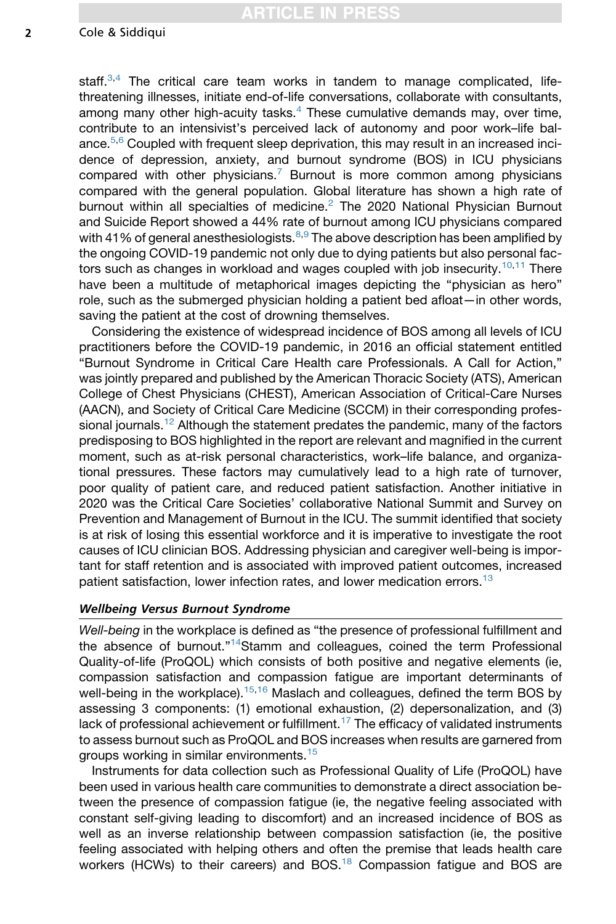#### 2 Cole & Siddiqui

staff. $3,4$  $3,4$  $3,4$  The critical care team works in tandem to manage complicated, lifethreatening illnesses, initiate end-of-life conversations, collaborate with consultants, among many other high-acuity tasks.[4](#page-7-3) These cumulative demands may, over time, contribute to an intensivist's perceived lack of autonomy and poor work–life bal-ance.<sup>[5](#page-7-4)[,6](#page-7-5)</sup> Coupled with frequent sleep deprivation, this may result in an increased incidence of depression, anxiety, and burnout syndrome (BOS) in ICU physicians compared with other physicians.<sup>[7](#page-7-6)</sup> Burnout is more common among physicians compared with the general population. Global literature has shown a high rate of burnout within all specialties of medicine.[2](#page-7-1) The 2020 National Physician Burnout and Suicide Report showed a 44% rate of burnout among ICU physicians compared with 41% of general anesthesiologists. $8,9$  $8,9$  $8,9$  The above description has been amplified by the ongoing COVID-19 pandemic not only due to dying patients but also personal fac-tors such as changes in workload and wages coupled with job insecurity.<sup>[10](#page-7-9)[,11](#page-7-10)</sup> There have been a multitude of metaphorical images depicting the "physician as hero" role, such as the submerged physician holding a patient bed afloat—in other words, saving the patient at the cost of drowning themselves.

Considering the existence of widespread incidence of BOS among all levels of ICU practitioners before the COVID-19 pandemic, in 2016 an official statement entitled "Burnout Syndrome in Critical Care Health care Professionals. A Call for Action," was jointly prepared and published by the American Thoracic Society (ATS), American College of Chest Physicians (CHEST), American Association of Critical-Care Nurses (AACN), and Society of Critical Care Medicine (SCCM) in their corresponding profes-sional journals.<sup>[12](#page-7-11)</sup> Although the statement predates the pandemic, many of the factors predisposing to BOS highlighted in the report are relevant and magnified in the current moment, such as at-risk personal characteristics, work–life balance, and organizational pressures. These factors may cumulatively lead to a high rate of turnover, poor quality of patient care, and reduced patient satisfaction. Another initiative in 2020 was the Critical Care Societies' collaborative National Summit and Survey on Prevention and Management of Burnout in the ICU. The summit identified that society is at risk of losing this essential workforce and it is imperative to investigate the root causes of ICU clinician BOS. Addressing physician and caregiver well-being is important for staff retention and is associated with improved patient outcomes, increased patient satisfaction, lower infection rates, and lower medication errors.<sup>[13](#page-7-12)</sup>

#### Wellbeing Versus Burnout Syndrome

*Well-being* in the workplace is defined as "the presence of professional fulfillment and the absence of burnout."<sup>[14](#page-7-13)</sup>Stamm and colleagues, coined the term Professional Quality-of-life (ProQOL) which consists of both positive and negative elements (ie, compassion satisfaction and compassion fatigue are important determinants of well-being in the workplace).<sup>[15](#page-7-14)[,16](#page-7-15)</sup> Maslach and colleagues, defined the term BOS by assessing 3 components: (1) emotional exhaustion, (2) depersonalization, and (3) lack of professional achievement or fulfillment.<sup>[17](#page-7-16)</sup> The efficacy of validated instruments to assess burnout such as ProQOL and BOS increases when results are garnered from groups working in similar environments.<sup>[15](#page-7-14)</sup>

Instruments for data collection such as Professional Quality of Life (ProQOL) have been used in various health care communities to demonstrate a direct association between the presence of compassion fatigue (ie, the negative feeling associated with constant self-giving leading to discomfort) and an increased incidence of BOS as well as an inverse relationship between compassion satisfaction (ie, the positive feeling associated with helping others and often the premise that leads health care workers (HCWs) to their careers) and BOS.<sup>18</sup> Compassion fatigue and BOS are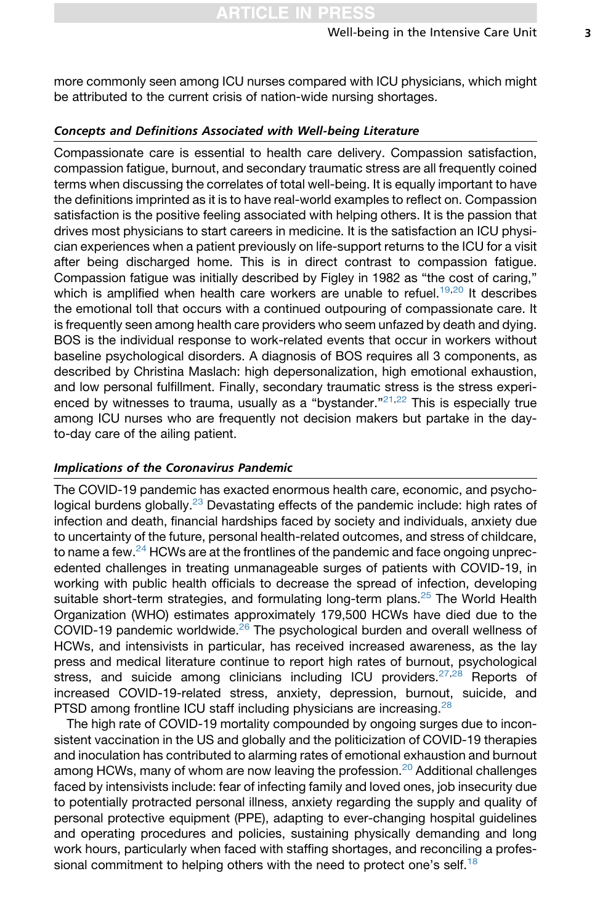more commonly seen among ICU nurses compared with ICU physicians, which might be attributed to the current crisis of nation-wide nursing shortages.

#### Concepts and Definitions Associated with Well-being Literature

Compassionate care is essential to health care delivery. Compassion satisfaction, compassion fatigue, burnout, and secondary traumatic stress are all frequently coined terms when discussing the correlates of total well-being. It is equally important to have the definitions imprinted as it is to have real-world examples to reflect on. Compassion satisfaction is the positive feeling associated with helping others. It is the passion that drives most physicians to start careers in medicine. It is the satisfaction an ICU physician experiences when a patient previously on life-support returns to the ICU for a visit after being discharged home. This is in direct contrast to compassion fatigue. Compassion fatigue was initially described by Figley in 1982 as "the cost of caring," which is amplified when health care workers are unable to refuel.<sup>[19,](#page-8-1)[20](#page-8-2)</sup> It describes the emotional toll that occurs with a continued outpouring of compassionate care. It is frequently seen among health care providers who seem unfazed by death and dying. BOS is the individual response to work-related events that occur in workers without baseline psychological disorders. A diagnosis of BOS requires all 3 components, as described by Christina Maslach: high depersonalization, high emotional exhaustion, and low personal fulfillment. Finally, secondary traumatic stress is the stress experi-enced by witnesses to trauma, usually as a "bystander."<sup>[21](#page-8-3)[,22](#page-8-4)</sup> This is especially true among ICU nurses who are frequently not decision makers but partake in the dayto-day care of the ailing patient.

#### Implications of the Coronavirus Pandemic

The COVID-19 pandemic has exacted enormous health care, economic, and psycho-logical burdens globally.<sup>[23](#page-8-5)</sup> Devastating effects of the pandemic include: high rates of infection and death, financial hardships faced by society and individuals, anxiety due to uncertainty of the future, personal health-related outcomes, and stress of childcare, to name a few. $24$  HCWs are at the frontlines of the pandemic and face ongoing unprecedented challenges in treating unmanageable surges of patients with COVID-19, in working with public health officials to decrease the spread of infection, developing suitable short-term strategies, and formulating long-term plans.<sup>[25](#page-8-7)</sup> The World Health Organization (WHO) estimates approximately 179,500 HCWs have died due to the COVID-19 pandemic worldwide.<sup>[26](#page-8-8)</sup> The psychological burden and overall wellness of HCWs, and intensivists in particular, has received increased awareness, as the lay press and medical literature continue to report high rates of burnout, psychological stress, and suicide among clinicians including ICU providers. $27,28$  $27,28$  Reports of increased COVID-19-related stress, anxiety, depression, burnout, suicide, and PTSD among frontline ICU staff including physicians are increasing.<sup>[28](#page-8-10)</sup>

The high rate of COVID-19 mortality compounded by ongoing surges due to inconsistent vaccination in the US and globally and the politicization of COVID-19 therapies and inoculation has contributed to alarming rates of emotional exhaustion and burnout among HCWs, many of whom are now leaving the profession.<sup>[20](#page-8-2)</sup> Additional challenges faced by intensivists include: fear of infecting family and loved ones, job insecurity due to potentially protracted personal illness, anxiety regarding the supply and quality of personal protective equipment (PPE), adapting to ever-changing hospital guidelines and operating procedures and policies, sustaining physically demanding and long work hours, particularly when faced with staffing shortages, and reconciling a profes-sional commitment to helping others with the need to protect one's self.<sup>[18](#page-8-0)</sup>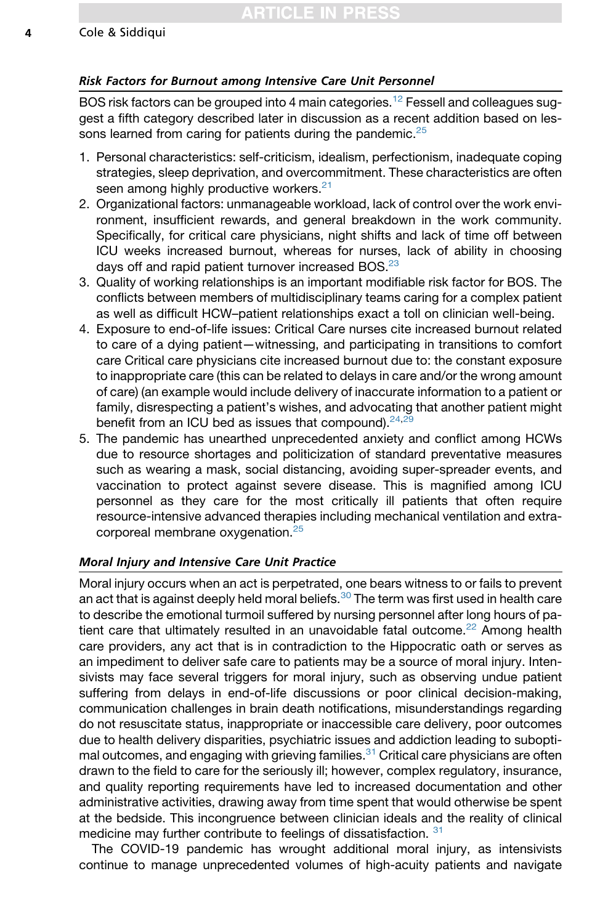# Risk Factors for Burnout among Intensive Care Unit Personnel

BOS risk factors can be grouped into 4 main categories.<sup>[12](#page-7-11)</sup> Fessell and colleagues suggest a fifth category described later in discussion as a recent addition based on lessons learned from caring for patients during the pandemic. $25$ 

- 1. Personal characteristics: self-criticism, idealism, perfectionism, inadequate coping strategies, sleep deprivation, and overcommitment. These characteristics are often seen among highly productive workers.<sup>[21](#page-8-3)</sup>
- 2. Organizational factors: unmanageable workload, lack of control over the work environment, insufficient rewards, and general breakdown in the work community. Specifically, for critical care physicians, night shifts and lack of time off between ICU weeks increased burnout, whereas for nurses, lack of ability in choosing days off and rapid patient turnover increased BOS.<sup>[23](#page-8-5)</sup>
- 3. Quality of working relationships is an important modifiable risk factor for BOS. The conflicts between members of multidisciplinary teams caring for a complex patient as well as difficult HCW–patient relationships exact a toll on clinician well-being.
- 4. Exposure to end-of-life issues: Critical Care nurses cite increased burnout related to care of a dying patient—witnessing, and participating in transitions to comfort care Critical care physicians cite increased burnout due to: the constant exposure to inappropriate care (this can be related to delays in care and/or the wrong amount of care) (an example would include delivery of inaccurate information to a patient or family, disrespecting a patient's wishes, and advocating that another patient might benefit from an ICU bed as issues that compound).  $24,29$  $24,29$
- 5. The pandemic has unearthed unprecedented anxiety and conflict among HCWs due to resource shortages and politicization of standard preventative measures such as wearing a mask, social distancing, avoiding super-spreader events, and vaccination to protect against severe disease. This is magnified among ICU personnel as they care for the most critically ill patients that often require resource-intensive advanced therapies including mechanical ventilation and extra-corporeal membrane oxygenation.<sup>[25](#page-8-7)</sup>

# Moral Injury and Intensive Care Unit Practice

Moral injury occurs when an act is perpetrated, one bears witness to or fails to prevent an act that is against deeply held moral beliefs. $30$  The term was first used in health care to describe the emotional turmoil suffered by nursing personnel after long hours of patient care that ultimately resulted in an unavoidable fatal outcome. $^{22}$  $^{22}$  $^{22}$  Among health care providers, any act that is in contradiction to the Hippocratic oath or serves as an impediment to deliver safe care to patients may be a source of moral injury. Intensivists may face several triggers for moral injury, such as observing undue patient suffering from delays in end-of-life discussions or poor clinical decision-making, communication challenges in brain death notifications, misunderstandings regarding do not resuscitate status, inappropriate or inaccessible care delivery, poor outcomes due to health delivery disparities, psychiatric issues and addiction leading to subopti-mal outcomes, and engaging with grieving families.<sup>[31](#page-8-13)</sup> Critical care physicians are often drawn to the field to care for the seriously ill; however, complex regulatory, insurance, and quality reporting requirements have led to increased documentation and other administrative activities, drawing away from time spent that would otherwise be spent at the bedside. This incongruence between clinician ideals and the reality of clinical medicine may further contribute to feelings of dissatisfaction. [31](#page-8-13)

The COVID-19 pandemic has wrought additional moral injury, as intensivists continue to manage unprecedented volumes of high-acuity patients and navigate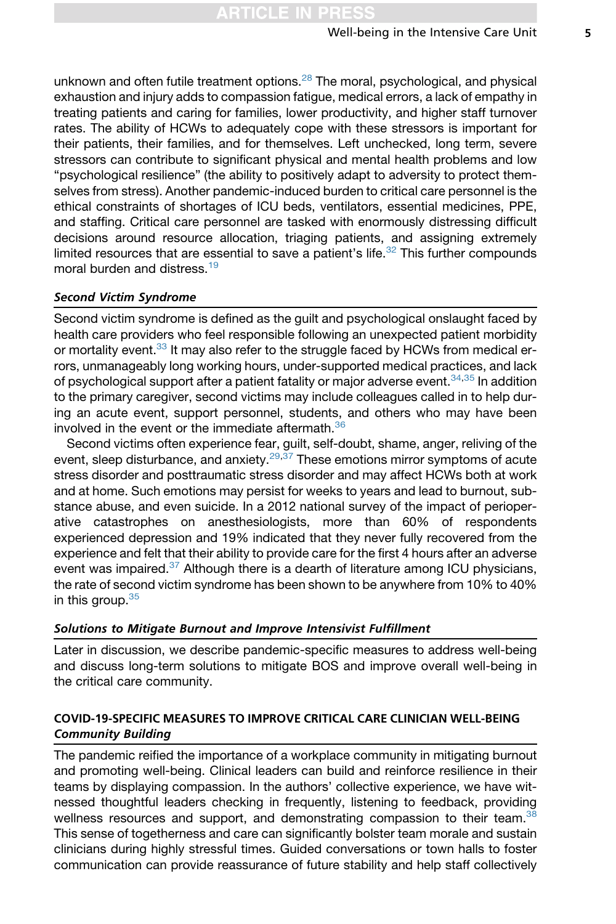unknown and often futile treatment options. $^{28}$  $^{28}$  $^{28}$  The moral, psychological, and physical exhaustion and injury adds to compassion fatigue, medical errors, a lack of empathy in treating patients and caring for families, lower productivity, and higher staff turnover rates. The ability of HCWs to adequately cope with these stressors is important for their patients, their families, and for themselves. Left unchecked, long term, severe stressors can contribute to significant physical and mental health problems and low "psychological resilience" (the ability to positively adapt to adversity to protect themselves from stress). Another pandemic-induced burden to critical care personnel is the ethical constraints of shortages of ICU beds, ventilators, essential medicines, PPE, and staffing. Critical care personnel are tasked with enormously distressing difficult decisions around resource allocation, triaging patients, and assigning extremely limited resources that are essential to save a patient's life. $32$  This further compounds moral burden and distress.<sup>[19](#page-8-1)</sup>

# Second Victim Syndrome

Second victim syndrome is defined as the guilt and psychological onslaught faced by health care providers who feel responsible following an unexpected patient morbidity or mortality event.<sup>[33](#page-8-15)</sup> It may also refer to the struggle faced by HCWs from medical errors, unmanageably long working hours, under-supported medical practices, and lack of psychological support after a patient fatality or major adverse event.  $34,35$  $34,35$  In addition to the primary caregiver, second victims may include colleagues called in to help during an acute event, support personnel, students, and others who may have been involved in the event or the immediate aftermath.<sup>[36](#page-8-18)</sup>

Second victims often experience fear, guilt, self-doubt, shame, anger, reliving of the event, sleep disturbance, and anxiety. $29,37$  $29,37$  These emotions mirror symptoms of acute stress disorder and posttraumatic stress disorder and may affect HCWs both at work and at home. Such emotions may persist for weeks to years and lead to burnout, substance abuse, and even suicide. In a 2012 national survey of the impact of perioperative catastrophes on anesthesiologists, more than 60% of respondents experienced depression and 19% indicated that they never fully recovered from the experience and felt that their ability to provide care for the first 4 hours after an adverse event was impaired.<sup>[37](#page-8-19)</sup> Although there is a dearth of literature among ICU physicians, the rate of second victim syndrome has been shown to be anywhere from 10% to 40% in this group. $35$ 

#### Solutions to Mitigate Burnout and Improve Intensivist Fulfillment

Later in discussion, we describe pandemic-specific measures to address well-being and discuss long-term solutions to mitigate BOS and improve overall well-being in the critical care community.

# COVID-19-SPECIFIC MEASURES TO IMPROVE CRITICAL CARE CLINICIAN WELL-BEING Community Building

The pandemic reified the importance of a workplace community in mitigating burnout and promoting well-being. Clinical leaders can build and reinforce resilience in their teams by displaying compassion. In the authors' collective experience, we have witnessed thoughtful leaders checking in frequently, listening to feedback, providing wellness resources and support, and demonstrating compassion to their team.<sup>[38](#page-8-20)</sup> This sense of togetherness and care can significantly bolster team morale and sustain clinicians during highly stressful times. Guided conversations or town halls to foster communication can provide reassurance of future stability and help staff collectively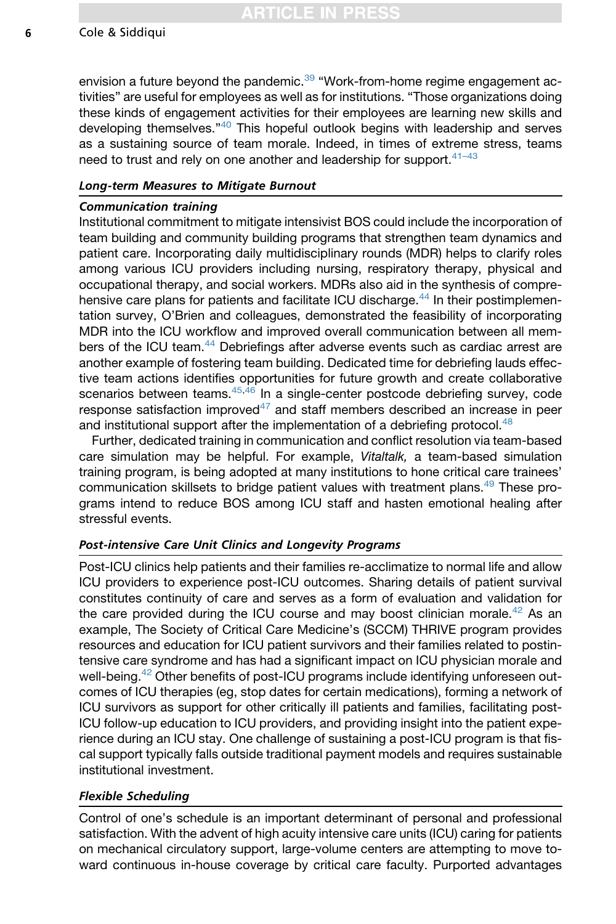RTICLE IN PRE

#### 6 Cole & Siddiqui

envision a future beyond the pandemic. $39$  "Work-from-home regime engagement activities" are useful for employees as well as for institutions. "Those organizations doing these kinds of engagement activities for their employees are learning new skills and developing themselves."<sup>[40](#page-9-1)</sup> This hopeful outlook begins with leadership and serves as a sustaining source of team morale. Indeed, in times of extreme stress, teams need to trust and rely on one another and leadership for support.<sup>41-43</sup>

#### Long-term Measures to Mitigate Burnout

#### Communication training

Institutional commitment to mitigate intensivist BOS could include the incorporation of team building and community building programs that strengthen team dynamics and patient care. Incorporating daily multidisciplinary rounds (MDR) helps to clarify roles among various ICU providers including nursing, respiratory therapy, physical and occupational therapy, and social workers. MDRs also aid in the synthesis of compre-hensive care plans for patients and facilitate ICU discharge.<sup>[44](#page-9-3)</sup> In their postimplementation survey, O'Brien and colleagues, demonstrated the feasibility of incorporating MDR into the ICU workflow and improved overall communication between all mem-bers of the ICU team.<sup>[44](#page-9-3)</sup> Debriefings after adverse events such as cardiac arrest are another example of fostering team building. Dedicated time for debriefing lauds effective team actions identifies opportunities for future growth and create collaborative scenarios between teams.<sup>[45,](#page-9-4)[46](#page-9-5)</sup> In a single-center postcode debriefing survey, code response satisfaction improved $47$  and staff members described an increase in peer and institutional support after the implementation of a debriefing protocol.<sup>[48](#page-9-7)</sup>

Further, dedicated training in communication and conflict resolution via team-based care simulation may be helpful. For example, *Vitaltalk,* a team-based simulation training program, is being adopted at many institutions to hone critical care trainees' communication skillsets to bridge patient values with treatment plans.[49](#page-9-8) These programs intend to reduce BOS among ICU staff and hasten emotional healing after stressful events.

## Post-intensive Care Unit Clinics and Longevity Programs

Post-ICU clinics help patients and their families re-acclimatize to normal life and allow ICU providers to experience post-ICU outcomes. Sharing details of patient survival constitutes continuity of care and serves as a form of evaluation and validation for the care provided during the ICU course and may boost clinician morale.<sup>[42](#page-9-9)</sup> As an example, The Society of Critical Care Medicine's (SCCM) THRIVE program provides resources and education for ICU patient survivors and their families related to postintensive care syndrome and has had a significant impact on ICU physician morale and well-being.<sup>[42](#page-9-9)</sup> Other benefits of post-ICU programs include identifying unforeseen outcomes of ICU therapies (eg, stop dates for certain medications), forming a network of ICU survivors as support for other critically ill patients and families, facilitating post-ICU follow-up education to ICU providers, and providing insight into the patient experience during an ICU stay. One challenge of sustaining a post-ICU program is that fiscal support typically falls outside traditional payment models and requires sustainable institutional investment.

# Flexible Scheduling

Control of one's schedule is an important determinant of personal and professional satisfaction. With the advent of high acuity intensive care units (ICU) caring for patients on mechanical circulatory support, large-volume centers are attempting to move toward continuous in-house coverage by critical care faculty. Purported advantages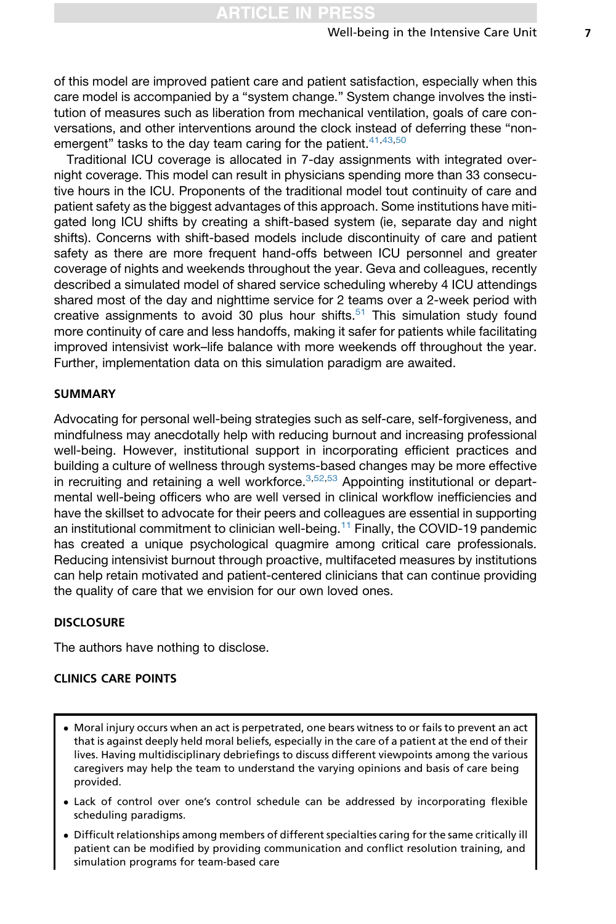of this model are improved patient care and patient satisfaction, especially when this care model is accompanied by a "system change." System change involves the institution of measures such as liberation from mechanical ventilation, goals of care conversations, and other interventions around the clock instead of deferring these "nonemergent" tasks to the day team caring for the patient. $41,43,50$  $41,43,50$  $41,43,50$ 

Traditional ICU coverage is allocated in 7-day assignments with integrated overnight coverage. This model can result in physicians spending more than 33 consecutive hours in the ICU. Proponents of the traditional model tout continuity of care and patient safety as the biggest advantages of this approach. Some institutions have mitigated long ICU shifts by creating a shift-based system (ie, separate day and night shifts). Concerns with shift-based models include discontinuity of care and patient safety as there are more frequent hand-offs between ICU personnel and greater coverage of nights and weekends throughout the year. Geva and colleagues, recently described a simulated model of shared service scheduling whereby 4 ICU attendings shared most of the day and nighttime service for 2 teams over a 2-week period with creative assignments to avoid 30 plus hour shifts. $51$  This simulation study found more continuity of care and less handoffs, making it safer for patients while facilitating improved intensivist work–life balance with more weekends off throughout the year. Further, implementation data on this simulation paradigm are awaited.

#### SUMMARY

Advocating for personal well-being strategies such as self-care, self-forgiveness, and mindfulness may anecdotally help with reducing burnout and increasing professional well-being. However, institutional support in incorporating efficient practices and building a culture of wellness through systems-based changes may be more effective in recruiting and retaining a well workforce. $3,52,53$  $3,52,53$  $3,52,53$  Appointing institutional or departmental well-being officers who are well versed in clinical workflow inefficiencies and have the skillset to advocate for their peers and colleagues are essential in supporting an institutional commitment to clinician well-being.[11](#page-7-10) Finally, the COVID-19 pandemic has created a unique psychological quagmire among critical care professionals. Reducing intensivist burnout through proactive, multifaceted measures by institutions can help retain motivated and patient-centered clinicians that can continue providing the quality of care that we envision for our own loved ones.

#### **DISCLOSURE**

The authors have nothing to disclose.

# CLINICS CARE POINTS

- Moral injury occurs when an act is perpetrated, one bears witness to or fails to prevent an act that is against deeply held moral beliefs, especially in the care of a patient at the end of their lives. Having multidisciplinary debriefings to discuss different viewpoints among the various caregivers may help the team to understand the varying opinions and basis of care being provided.
- Lack of control over one's control schedule can be addressed by incorporating flexible scheduling paradigms.
- Difficult relationships among members of different specialties caring for the same critically ill patient can be modified by providing communication and conflict resolution training, and simulation programs for team-based care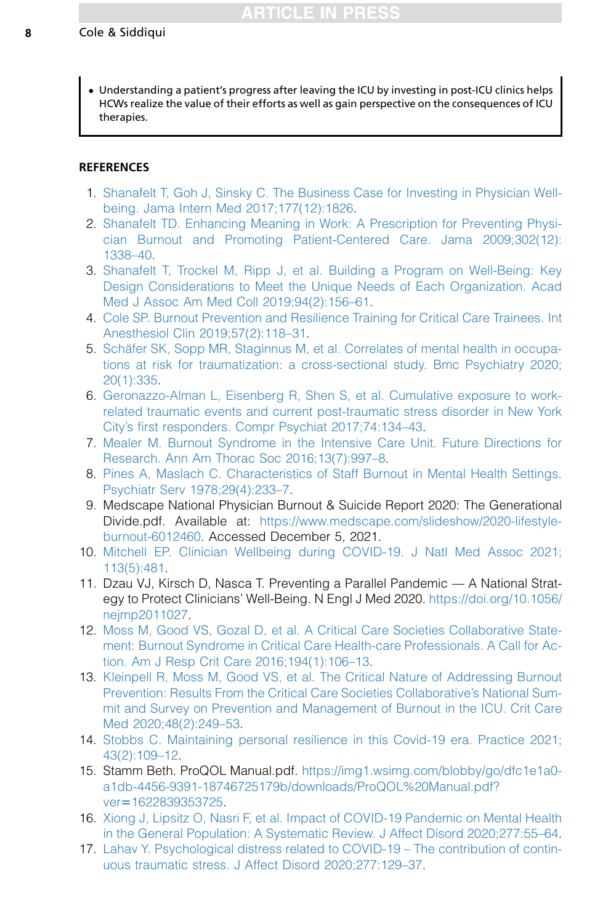Understanding a patient's progress after leaving the ICU by investing in post-ICU clinics helps HCWs realize the value of their efforts as well as gain perspective on the consequences of ICU therapies.

# **REFERENCES**

- <span id="page-7-0"></span>1. [Shanafelt T, Goh J, Sinsky C. The Business Case for Investing in Physician Well](http://refhub.elsevier.com/S1932-2275(22)00010-6/sref1)[being. Jama Intern Med 2017;177\(12\):1826.](http://refhub.elsevier.com/S1932-2275(22)00010-6/sref1)
- <span id="page-7-1"></span>2. [Shanafelt TD. Enhancing Meaning in Work: A Prescription for Preventing Physi](http://refhub.elsevier.com/S1932-2275(22)00010-6/sref2)[cian Burnout and Promoting Patient-Centered Care. Jama 2009;302\(12\):](http://refhub.elsevier.com/S1932-2275(22)00010-6/sref2) [1338–40.](http://refhub.elsevier.com/S1932-2275(22)00010-6/sref2)
- <span id="page-7-2"></span>3. [Shanafelt T, Trockel M, Ripp J, et al. Building a Program on Well-Being: Key](http://refhub.elsevier.com/S1932-2275(22)00010-6/sref3) [Design Considerations to Meet the Unique Needs of Each Organization. Acad](http://refhub.elsevier.com/S1932-2275(22)00010-6/sref3) [Med J Assoc Am Med Coll 2019;94\(2\):156–61](http://refhub.elsevier.com/S1932-2275(22)00010-6/sref3).
- <span id="page-7-3"></span>4. [Cole SP. Burnout Prevention and Resilience Training for Critical Care Trainees. Int](http://refhub.elsevier.com/S1932-2275(22)00010-6/sref4) [Anesthesiol Clin 2019;57\(2\):118–31.](http://refhub.elsevier.com/S1932-2275(22)00010-6/sref4)
- <span id="page-7-4"></span>5. Schäfer SK, Sopp MR, Staginnus M, et al. Correlates of mental health in occupa[tions at risk for traumatization: a cross-sectional study. Bmc Psychiatry 2020;](http://refhub.elsevier.com/S1932-2275(22)00010-6/sref5) [20\(1\):335.](http://refhub.elsevier.com/S1932-2275(22)00010-6/sref5)
- <span id="page-7-5"></span>6. [Geronazzo-Alman L, Eisenberg R, Shen S, et al. Cumulative exposure to work](http://refhub.elsevier.com/S1932-2275(22)00010-6/sref6)[related traumatic events and current post-traumatic stress disorder in New York](http://refhub.elsevier.com/S1932-2275(22)00010-6/sref6) [City's first responders. Compr Psychiat 2017;74:134–43](http://refhub.elsevier.com/S1932-2275(22)00010-6/sref6).
- <span id="page-7-6"></span>7. [Mealer M. Burnout Syndrome in the Intensive Care Unit. Future Directions for](http://refhub.elsevier.com/S1932-2275(22)00010-6/sref7) [Research. Ann Am Thorac Soc 2016;13\(7\):997–8](http://refhub.elsevier.com/S1932-2275(22)00010-6/sref7).
- <span id="page-7-7"></span>8. [Pines A, Maslach C. Characteristics of Staff Burnout in Mental Health Settings.](http://refhub.elsevier.com/S1932-2275(22)00010-6/sref8) [Psychiatr Serv 1978;29\(4\):233–7](http://refhub.elsevier.com/S1932-2275(22)00010-6/sref8).
- <span id="page-7-8"></span>9. Medscape National Physician Burnout & Suicide Report 2020: The Generational Divide.pdf. Available at: [https://www.medscape.com/slideshow/2020-lifestyle](https://www.medscape.com/slideshow/2020-lifestyle-burnout-6012460)[burnout-6012460.](https://www.medscape.com/slideshow/2020-lifestyle-burnout-6012460) Accessed December 5, 2021.
- <span id="page-7-9"></span>10. [Mitchell EP. Clinician Wellbeing during COVID-19. J Natl Med Assoc 2021;](http://refhub.elsevier.com/S1932-2275(22)00010-6/sref10) [113\(5\):481](http://refhub.elsevier.com/S1932-2275(22)00010-6/sref10).
- <span id="page-7-10"></span>11. Dzau VJ, Kirsch D, Nasca T. Preventing a Parallel Pandemic — A National Strategy to Protect Clinicians' Well-Being. N Engl J Med 2020. [https://doi.org/10.1056/](https://doi.org/10.1056/nejmp2011027) [nejmp2011027.](https://doi.org/10.1056/nejmp2011027)
- <span id="page-7-11"></span>12. [Moss M, Good VS, Gozal D, et al. A Critical Care Societies Collaborative State](http://refhub.elsevier.com/S1932-2275(22)00010-6/sref12)[ment: Burnout Syndrome in Critical Care Health-care Professionals. A Call for Ac](http://refhub.elsevier.com/S1932-2275(22)00010-6/sref12)[tion. Am J Resp Crit Care 2016;194\(1\):106–13](http://refhub.elsevier.com/S1932-2275(22)00010-6/sref12).
- <span id="page-7-12"></span>13. [Kleinpell R, Moss M, Good VS, et al. The Critical Nature of Addressing Burnout](http://refhub.elsevier.com/S1932-2275(22)00010-6/sref13) [Prevention: Results From the Critical Care Societies Collaborative's National Sum](http://refhub.elsevier.com/S1932-2275(22)00010-6/sref13)[mit and Survey on Prevention and Management of Burnout in the ICU. Crit Care](http://refhub.elsevier.com/S1932-2275(22)00010-6/sref13) [Med 2020;48\(2\):249–53](http://refhub.elsevier.com/S1932-2275(22)00010-6/sref13).
- <span id="page-7-13"></span>14. [Stobbs C. Maintaining personal resilience in this Covid-19 era. Practice 2021;](http://refhub.elsevier.com/S1932-2275(22)00010-6/sref14) [43\(2\):109–12.](http://refhub.elsevier.com/S1932-2275(22)00010-6/sref14)
- <span id="page-7-14"></span>15. Stamm Beth. ProQOL Manual.pdf. [https://img1.wsimg.com/blobby/go/dfc1e1a0](https://img1.wsimg.com/blobby/go/dfc1e1a0-a1db-4456-9391-18746725179b/downloads/ProQOL%20Manual.pdf?ver=1622839353725) [a1db-4456-9391-18746725179b/downloads/ProQOL%20Manual.pdf?](https://img1.wsimg.com/blobby/go/dfc1e1a0-a1db-4456-9391-18746725179b/downloads/ProQOL%20Manual.pdf?ver=1622839353725) ver=[1622839353725](https://img1.wsimg.com/blobby/go/dfc1e1a0-a1db-4456-9391-18746725179b/downloads/ProQOL%20Manual.pdf?ver=1622839353725).
- <span id="page-7-15"></span>16. [Xiong J, Lipsitz O, Nasri F, et al. Impact of COVID-19 Pandemic on Mental Health](http://refhub.elsevier.com/S1932-2275(22)00010-6/sref16) [in the General Population: A Systematic Review. J Affect Disord 2020;277:55–64.](http://refhub.elsevier.com/S1932-2275(22)00010-6/sref16)
- <span id="page-7-16"></span>17. [Lahav Y. Psychological distress related to COVID-19 – The contribution of contin](http://refhub.elsevier.com/S1932-2275(22)00010-6/sref17)[uous traumatic stress. J Affect Disord 2020;277:129–37](http://refhub.elsevier.com/S1932-2275(22)00010-6/sref17).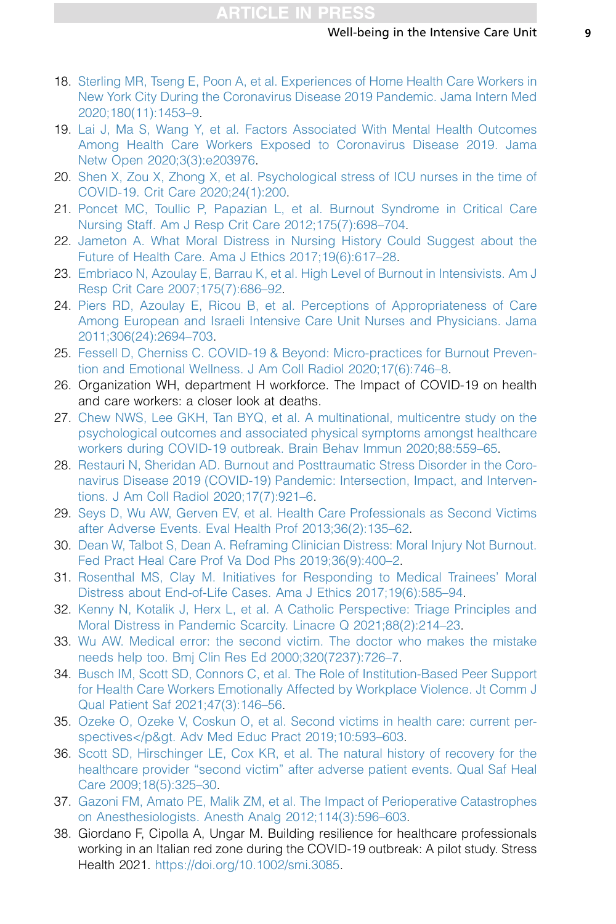- <span id="page-8-0"></span>18. [Sterling MR, Tseng E, Poon A, et al. Experiences of Home Health Care Workers in](http://refhub.elsevier.com/S1932-2275(22)00010-6/sref18) [New York City During the Coronavirus Disease 2019 Pandemic. Jama Intern Med](http://refhub.elsevier.com/S1932-2275(22)00010-6/sref18) [2020;180\(11\):1453–9.](http://refhub.elsevier.com/S1932-2275(22)00010-6/sref18)
- <span id="page-8-1"></span>19. [Lai J, Ma S, Wang Y, et al. Factors Associated With Mental Health Outcomes](http://refhub.elsevier.com/S1932-2275(22)00010-6/sref19) [Among Health Care Workers Exposed to Coronavirus Disease 2019. Jama](http://refhub.elsevier.com/S1932-2275(22)00010-6/sref19) [Netw Open 2020;3\(3\):e203976.](http://refhub.elsevier.com/S1932-2275(22)00010-6/sref19)
- <span id="page-8-2"></span>20. [Shen X, Zou X, Zhong X, et al. Psychological stress of ICU nurses in the time of](http://refhub.elsevier.com/S1932-2275(22)00010-6/sref20) [COVID-19. Crit Care 2020;24\(1\):200.](http://refhub.elsevier.com/S1932-2275(22)00010-6/sref20)
- <span id="page-8-3"></span>21. [Poncet MC, Toullic P, Papazian L, et al. Burnout Syndrome in Critical Care](http://refhub.elsevier.com/S1932-2275(22)00010-6/sref21) [Nursing Staff. Am J Resp Crit Care 2012;175\(7\):698–704](http://refhub.elsevier.com/S1932-2275(22)00010-6/sref21).
- <span id="page-8-4"></span>22. [Jameton A. What Moral Distress in Nursing History Could Suggest about the](http://refhub.elsevier.com/S1932-2275(22)00010-6/sref22) [Future of Health Care. Ama J Ethics 2017;19\(6\):617–28](http://refhub.elsevier.com/S1932-2275(22)00010-6/sref22).
- <span id="page-8-5"></span>23. [Embriaco N, Azoulay E, Barrau K, et al. High Level of Burnout in Intensivists. Am J](http://refhub.elsevier.com/S1932-2275(22)00010-6/sref23) [Resp Crit Care 2007;175\(7\):686–92.](http://refhub.elsevier.com/S1932-2275(22)00010-6/sref23)
- <span id="page-8-6"></span>24. [Piers RD, Azoulay E, Ricou B, et al. Perceptions of Appropriateness of Care](http://refhub.elsevier.com/S1932-2275(22)00010-6/sref24) [Among European and Israeli Intensive Care Unit Nurses and Physicians. Jama](http://refhub.elsevier.com/S1932-2275(22)00010-6/sref24) [2011;306\(24\):2694–703](http://refhub.elsevier.com/S1932-2275(22)00010-6/sref24).
- <span id="page-8-7"></span>25. [Fessell D, Cherniss C. COVID-19 & Beyond: Micro-practices for Burnout Preven](http://refhub.elsevier.com/S1932-2275(22)00010-6/sref25)[tion and Emotional Wellness. J Am Coll Radiol 2020;17\(6\):746–8](http://refhub.elsevier.com/S1932-2275(22)00010-6/sref25).
- <span id="page-8-8"></span>26. Organization WH, department H workforce. The Impact of COVID-19 on health and care workers: a closer look at deaths.
- <span id="page-8-9"></span>27. [Chew NWS, Lee GKH, Tan BYQ, et al. A multinational, multicentre study on the](http://refhub.elsevier.com/S1932-2275(22)00010-6/sref27) [psychological outcomes and associated physical symptoms amongst healthcare](http://refhub.elsevier.com/S1932-2275(22)00010-6/sref27) [workers during COVID-19 outbreak. Brain Behav Immun 2020;88:559–65.](http://refhub.elsevier.com/S1932-2275(22)00010-6/sref27)
- <span id="page-8-10"></span>28. [Restauri N, Sheridan AD. Burnout and Posttraumatic Stress Disorder in the Coro](http://refhub.elsevier.com/S1932-2275(22)00010-6/sref28)[navirus Disease 2019 \(COVID-19\) Pandemic: Intersection, Impact, and Interven](http://refhub.elsevier.com/S1932-2275(22)00010-6/sref28)[tions. J Am Coll Radiol 2020;17\(7\):921–6.](http://refhub.elsevier.com/S1932-2275(22)00010-6/sref28)
- <span id="page-8-11"></span>29. [Seys D, Wu AW, Gerven EV, et al. Health Care Professionals as Second Victims](http://refhub.elsevier.com/S1932-2275(22)00010-6/sref29) [after Adverse Events. Eval Health Prof 2013;36\(2\):135–62.](http://refhub.elsevier.com/S1932-2275(22)00010-6/sref29)
- <span id="page-8-12"></span>30. [Dean W, Talbot S, Dean A. Reframing Clinician Distress: Moral Injury Not Burnout.](http://refhub.elsevier.com/S1932-2275(22)00010-6/sref30) [Fed Pract Heal Care Prof Va Dod Phs 2019;36\(9\):400–2](http://refhub.elsevier.com/S1932-2275(22)00010-6/sref30).
- <span id="page-8-13"></span>31. [Rosenthal MS, Clay M. Initiatives for Responding to Medical Trainees' Moral](http://refhub.elsevier.com/S1932-2275(22)00010-6/sref31) [Distress about End-of-Life Cases. Ama J Ethics 2017;19\(6\):585–94.](http://refhub.elsevier.com/S1932-2275(22)00010-6/sref31)
- <span id="page-8-14"></span>32. [Kenny N, Kotalik J, Herx L, et al. A Catholic Perspective: Triage Principles and](http://refhub.elsevier.com/S1932-2275(22)00010-6/sref32) [Moral Distress in Pandemic Scarcity. Linacre Q 2021;88\(2\):214–23.](http://refhub.elsevier.com/S1932-2275(22)00010-6/sref32)
- <span id="page-8-16"></span><span id="page-8-15"></span>33. [Wu AW. Medical error: the second victim. The doctor who makes the mistake](http://refhub.elsevier.com/S1932-2275(22)00010-6/sref33) [needs help too. Bmj Clin Res Ed 2000;320\(7237\):726–7.](http://refhub.elsevier.com/S1932-2275(22)00010-6/sref33)
- 34. [Busch IM, Scott SD, Connors C, et al. The Role of Institution-Based Peer Support](http://refhub.elsevier.com/S1932-2275(22)00010-6/sref34) [for Health Care Workers Emotionally Affected by Workplace Violence. Jt Comm J](http://refhub.elsevier.com/S1932-2275(22)00010-6/sref34) [Qual Patient Saf 2021;47\(3\):146–56.](http://refhub.elsevier.com/S1932-2275(22)00010-6/sref34)
- <span id="page-8-18"></span><span id="page-8-17"></span>35. [Ozeke O, Ozeke V, Coskun O, et al. Second victims in health care: current per](http://refhub.elsevier.com/S1932-2275(22)00010-6/sref35)spectives</p&gt. Adv Med Educ Pract 2019;10:593-603.
- 36. [Scott SD, Hirschinger LE, Cox KR, et al. The natural history of recovery for the](http://refhub.elsevier.com/S1932-2275(22)00010-6/sref36) [healthcare provider "second victim" after adverse patient events. Qual Saf Heal](http://refhub.elsevier.com/S1932-2275(22)00010-6/sref36) [Care 2009;18\(5\):325–30.](http://refhub.elsevier.com/S1932-2275(22)00010-6/sref36)
- <span id="page-8-20"></span><span id="page-8-19"></span>37. [Gazoni FM, Amato PE, Malik ZM, et al. The Impact of Perioperative Catastrophes](http://refhub.elsevier.com/S1932-2275(22)00010-6/sref37) [on Anesthesiologists. Anesth Analg 2012;114\(3\):596–603](http://refhub.elsevier.com/S1932-2275(22)00010-6/sref37).
- 38. Giordano F, Cipolla A, Ungar M. Building resilience for healthcare professionals working in an Italian red zone during the COVID-19 outbreak: A pilot study. Stress Health 2021. <https://doi.org/10.1002/smi.3085>.